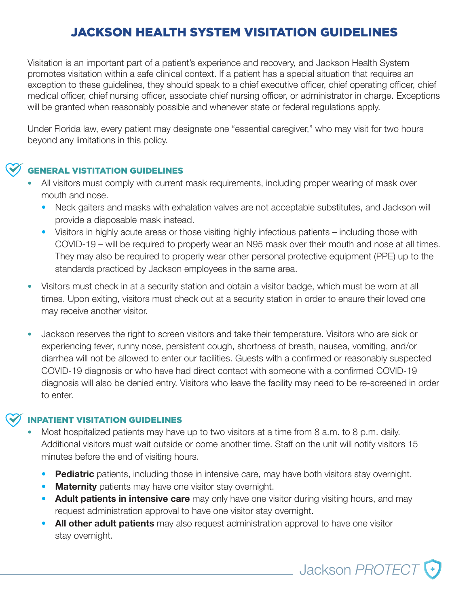# JACKSON HEALTH SYSTEM VISITATION GUIDELINES

Visitation is an important part of a patient's experience and recovery, and Jackson Health System promotes visitation within a safe clinical context. If a patient has a special situation that requires an exception to these guidelines, they should speak to a chief executive officer, chief operating officer, chief medical officer, chief nursing officer, associate chief nursing officer, or administrator in charge. Exceptions will be granted when reasonably possible and whenever state or federal regulations apply.

Under Florida law, every patient may designate one "essential caregiver," who may visit for two hours beyond any limitations in this policy.

### GENERAL VISTITATION GUIDELINES

- All visitors must comply with current mask requirements, including proper wearing of mask over mouth and nose.
	- Neck gaiters and masks with exhalation valves are not acceptable substitutes, and Jackson will provide a disposable mask instead.
	- Visitors in highly acute areas or those visiting highly infectious patients including those with COVID-19 – will be required to properly wear an N95 mask over their mouth and nose at all times. They may also be required to properly wear other personal protective equipment (PPE) up to the standards practiced by Jackson employees in the same area.
- Visitors must check in at a security station and obtain a visitor badge, which must be worn at all times. Upon exiting, visitors must check out at a security station in order to ensure their loved one may receive another visitor.
- Jackson reserves the right to screen visitors and take their temperature. Visitors who are sick or experiencing fever, runny nose, persistent cough, shortness of breath, nausea, vomiting, and/or diarrhea will not be allowed to enter our facilities. Guests with a confirmed or reasonably suspected COVID-19 diagnosis or who have had direct contact with someone with a confirmed COVID-19 diagnosis will also be denied entry. Visitors who leave the facility may need to be re-screened in order to enter. Jackson *FIT*

### INPATIENT VISITATION GUIDELINES

- Most hospitalized patients may have up to two visitors at a time from 8 a.m. to 8 p.m. daily. Additional visitors must wait outside or come another time. Staff on the unit will notify visitors 15 minutes before the end of visiting hours.
	- **Pediatric** patients, including those in intensive care, may have both visitors stay overnight.
	- **Maternity** patients may have one visitor stay overnight.
	- **Adult patients in intensive care** may only have one visitor during visiting hours, and may request administration approval to have one visitor stay overnight. Jackson *PROUD*

Jackson PROTECT

• **All other adult patients** may also request administration approval to have one visitor stay overnight.